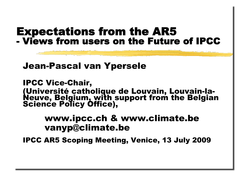# Expectations from the AR5 - Views from users on the Future of IPCC

### Jean-Pascal van Ypersele

IPCC Vice-Chair, (Université catholique de Louvain, Louvain-la-Neuve, Belgium, with support from the Belgian<br>Science Policy Office),

## www.ipcc.ch & www.climate.be vanyp@climate.be

IPCC AR5 Scoping Meeting, Venice, 13 July 2009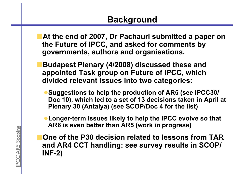# **Background**

■**At the end of 2007, Dr Pachauri submitted a paper on the Future of IPCC, and asked for comments by governments, authors and organisations.** 

- ■**Budapest Plenary (4/2008) discussed these and appointed Task group on Future of IPCC, which divided relevant issues into two categories:** 
	- ●**Suggestions to help the production of AR5 (see IPCC30/ Doc 10), which led to a set of 13 decisions taken in April at Plenary 30 (Antalya) (see SCOP/Doc 4 for the list)**
	- ●**Longer-term issues likely to help the IPCC evolve so that AR6 is even better than AR5 (work in progress)**
- ■**One of the P30 decision related to lessons from TAR and AR4 CCT handling: see survey results in SCOP/ INF-2)**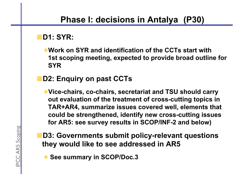# **Phase I: decisions in Antalya (P30)**

### ■**D1: SYR:**

●**Work on SYR and identification of the CCTs start with 1st scoping meeting, expected to provide broad outline for SYR** 

#### ■**D2: Enquiry on past CCTs**

●**Vice-chairs, co-chairs, secretariat and TSU should carry out evaluation of the treatment of cross-cutting topics in TAR+AR4, summarize issues covered well, elements that could be strengthened, identify new cross-cutting issues for AR5: see survey results in SCOP/INF-2 and below)** 

■**D3: Governments submit policy-relevant questions they would like to see addressed in AR5** 

**See summary in SCOP/Doc.3**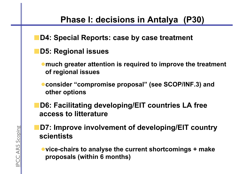- ■**D4: Special Reports: case by case treatment**
- ■**D5: Regional issues** 
	- **much greater attention is required to improve the treatment of regional issues**
	- ●**consider "compromise proposal" (see SCOP/INF.3) and other options**
- ■**D6: Facilitating developing/EIT countries LA free access to litterature**
- ■**D7: Improve involvement of developing/EIT country scientists**

●**vice-chairs to analyse the current shortcomings + make proposals (within 6 months)**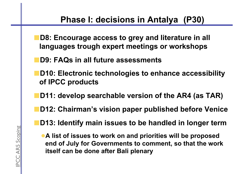## **Phase I: decisions in Antalya (P30)**

- ■**D8: Encourage access to grey and literature in all languages trough expert meetings or workshops**
- ■**D9: FAQs in all future assessments**
- ■**D10: Electronic technologies to enhance accessibility of IPCC products**
- ■**D11: develop searchable version of the AR4 (as TAR)**
- ■**D12: Chairman's vision paper published before Venice**
- ■**D13: Identify main issues to be handled in longer term** 
	- ●**A list of issues to work on and priorities will be proposed end of July for Governments to comment, so that the work itself can be done after Bali plenary**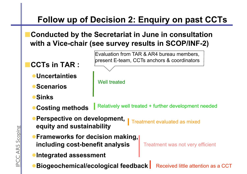# **Follow up of Decision 2: Enquiry on past CCTs**

■**Conducted by the Secretariat in June in consultation with a Vice-chair (see survey results in SCOP/INF-2)** 

■**CCTs in TAR :**  ●**Uncertainties**  ●**Scenarios**  ●**Sinks**  ●**Costing methods Perspective on development, equity and sustainability**  ●**Frameworks for decision making, including cost-benefit analysis**  ●**Integrated assessment**  ●**Biogeochemical/ecological feedback**  Well treated Evaluation from TAR & AR4 bureau members, present E-team, CCTs anchors & coordinators Relatively well treated + further development needed Received little attention as a CCT Treatment was not very efficient Treatment evaluated as mixed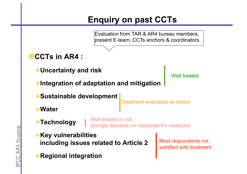# **Enquiry on past CCTs**

Evaluation from TAR & AR4 bureau members, present E-team, CCTs anchors & coordinators

### ■**CCTs in AR4 :**

●**Uncertainty and risk** 

●**Integration of adaptation and mitigation** 

●**Sustainable development** 

●**Water** 

●**Technology** 

Well treated or not : strongly depends on respondent's viewpoint

Treatment evaluated as mixed

- ●**Key vulnerabilities including issues related to Article 2**
- **Regional integration**

Most respondents not satisfied with treatment

Well treated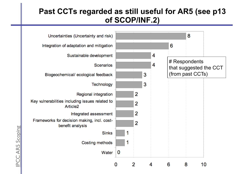### **Past CCTs regarded as still useful for AR5 (see p13 of SCOP/INF.2)**

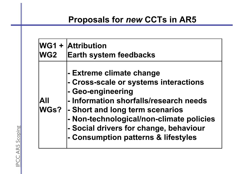# **Proposals for** *new* **CCTs in AR5**

| WG2                | WG1 + Attribution<br><b>Earth system feedbacks</b>                                                                                                                                                                                                                                               |
|--------------------|--------------------------------------------------------------------------------------------------------------------------------------------------------------------------------------------------------------------------------------------------------------------------------------------------|
| <b>AII</b><br>WGs? | - Extreme climate change<br>- Cross-scale or systems interactions<br>- Geo-engineering<br>- Information shorfalls/research needs<br>- Short and long term scenarios<br>- Non-technological/non-climate policies<br>- Social drivers for change, behaviour<br>- Consumption patterns & lifestyles |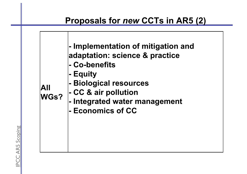## **Proposals for** *new* **CCTs in AR5 (2)**



**AR5 Scoping IPCC AR5 Scoping**